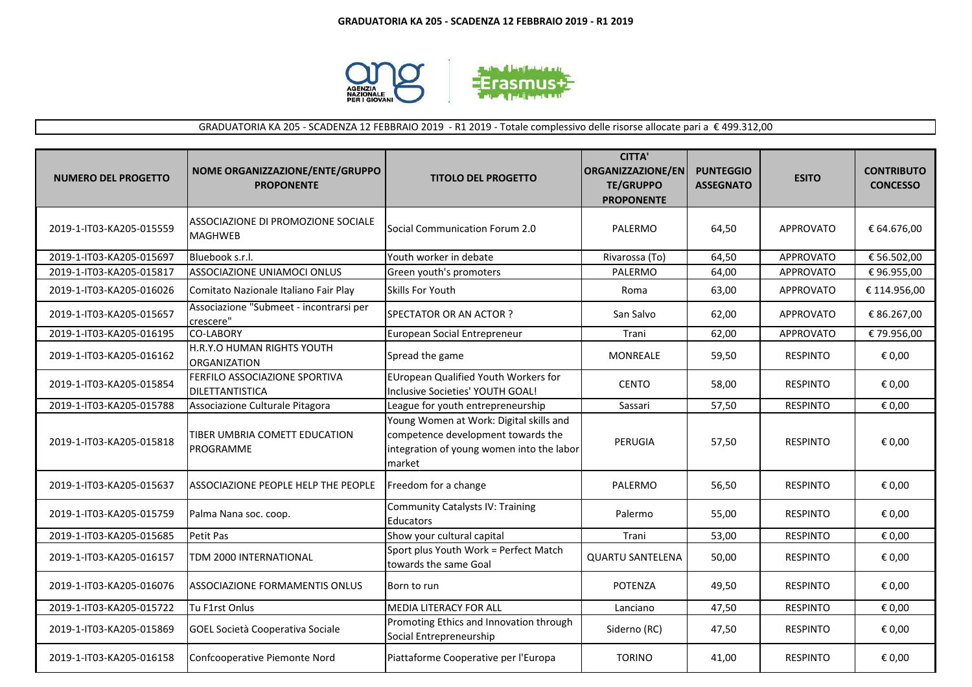

GRADUATORIA KA 205 - SCADENZA 12 FEBBRAIO 2019 - R1 2019 - Totale complessivo delle risorse allocate pari a € 499.312,00

| <b>NUMERO DEL PROGETTO</b> | NOME ORGANIZZAZIONE/ENTE/GRUPPO<br><b>PROPONENTE</b> | <b>TITOLO DEL PROGETTO</b>                                                                                                           | <b>CITTA'</b><br>ORGANIZZAZIONE/EN<br><b>TE/GRUPPO</b><br><b>PROPONENTE</b> | <b>PUNTEGGIO</b><br><b>ASSEGNATO</b> | <b>ESITO</b>     | <b>CONTRIBUTO</b><br><b>CONCESSO</b> |
|----------------------------|------------------------------------------------------|--------------------------------------------------------------------------------------------------------------------------------------|-----------------------------------------------------------------------------|--------------------------------------|------------------|--------------------------------------|
| 2019-1-IT03-KA205-015559   | ASSOCIAZIONE DI PROMOZIONE SOCIALE<br><b>MAGHWEB</b> | Social Communication Forum 2.0                                                                                                       | PALERMO                                                                     | 64,50                                | <b>APPROVATO</b> | € 64.676,00                          |
| 2019-1-IT03-KA205-015697   | Bluebook s.r.l.                                      | Youth worker in debate                                                                                                               | Rivarossa (To)                                                              | 64,50                                | <b>APPROVATO</b> | € 56.502,00                          |
| 2019-1-IT03-KA205-015817   | ASSOCIAZIONE UNIAMOCI ONLUS                          | Green youth's promoters                                                                                                              | PALERMO                                                                     | 64,00                                | APPROVATO        | €96.955,00                           |
| 2019-1-IT03-KA205-016026   | Comitato Nazionale Italiano Fair Play                | Skills For Youth                                                                                                                     | Roma                                                                        | 63,00                                | <b>APPROVATO</b> | € 114.956,00                         |
| 2019-1-IT03-KA205-015657   | Associazione "Submeet - incontrarsi per<br>crescere" | SPECTATOR OR AN ACTOR?                                                                                                               | San Salvo                                                                   | 62,00                                | <b>APPROVATO</b> | € 86.267,00                          |
| 2019-1-IT03-KA205-016195   | <b>CO-LABORY</b>                                     | European Social Entrepreneur                                                                                                         | Trani                                                                       | 62,00                                | <b>APPROVATO</b> | € 79.956,00                          |
| 2019-1-IT03-KA205-016162   | H.R.Y.O HUMAN RIGHTS YOUTH<br><b>ORGANIZATION</b>    | Spread the game                                                                                                                      | <b>MONREALE</b>                                                             | 59,50                                | <b>RESPINTO</b>  | € 0,00                               |
| 2019-1-IT03-KA205-015854   | FERFILO ASSOCIAZIONE SPORTIVA<br>DILETTANTISTICA     | EUropean Qualified Youth Workers for<br>Inclusive Societies' YOUTH GOAL!                                                             | <b>CENTO</b>                                                                | 58,00                                | <b>RESPINTO</b>  | € 0,00                               |
| 2019-1-IT03-KA205-015788   | Associazione Culturale Pitagora                      | League for youth entrepreneurship                                                                                                    | Sassari                                                                     | 57,50                                | <b>RESPINTO</b>  | € 0,00                               |
| 2019-1-IT03-KA205-015818   | TIBER UMBRIA COMETT EDUCATION<br>PROGRAMME           | Young Women at Work: Digital skills and<br>competence development towards the<br>integration of young women into the labor<br>market | PERUGIA                                                                     | 57,50                                | <b>RESPINTO</b>  | € 0,00                               |
| 2019-1-IT03-KA205-015637   | ASSOCIAZIONE PEOPLE HELP THE PEOPLE                  | Freedom for a change                                                                                                                 | <b>PALERMO</b>                                                              | 56,50                                | <b>RESPINTO</b>  | € 0,00                               |
| 2019-1-IT03-KA205-015759   | Palma Nana soc. coop.                                | <b>Community Catalysts IV: Training</b><br><b>Educators</b>                                                                          | Palermo                                                                     | 55,00                                | <b>RESPINTO</b>  | € 0,00                               |
| 2019-1-IT03-KA205-015685   | Petit Pas                                            | Show your cultural capital                                                                                                           | Trani                                                                       | 53,00                                | <b>RESPINTO</b>  | € 0,00                               |
| 2019-1-IT03-KA205-016157   | TDM 2000 INTERNATIONAL                               | Sport plus Youth Work = Perfect Match<br>towards the same Goal                                                                       | <b>QUARTU SANTELENA</b>                                                     | 50,00                                | <b>RESPINTO</b>  | € 0,00                               |
| 2019-1-IT03-KA205-016076   | <b>ASSOCIAZIONE FORMAMENTIS ONLUS</b>                | Born to run                                                                                                                          | <b>POTENZA</b>                                                              | 49,50                                | <b>RESPINTO</b>  | € 0,00                               |
| 2019-1-IT03-KA205-015722   | Tu F1rst Onlus                                       | <b>MEDIA LITERACY FOR ALL</b>                                                                                                        | Lanciano                                                                    | 47,50                                | <b>RESPINTO</b>  | € 0,00                               |
| 2019-1-IT03-KA205-015869   | GOEL Società Cooperativa Sociale                     | Promoting Ethics and Innovation through<br>Social Entrepreneurship                                                                   | Siderno (RC)                                                                | 47,50                                | <b>RESPINTO</b>  | € 0,00                               |
| 2019-1-IT03-KA205-016158   | Confcooperative Piemonte Nord                        | Piattaforme Cooperative per l'Europa                                                                                                 | <b>TORINO</b>                                                               | 41,00                                | <b>RESPINTO</b>  | € 0,00                               |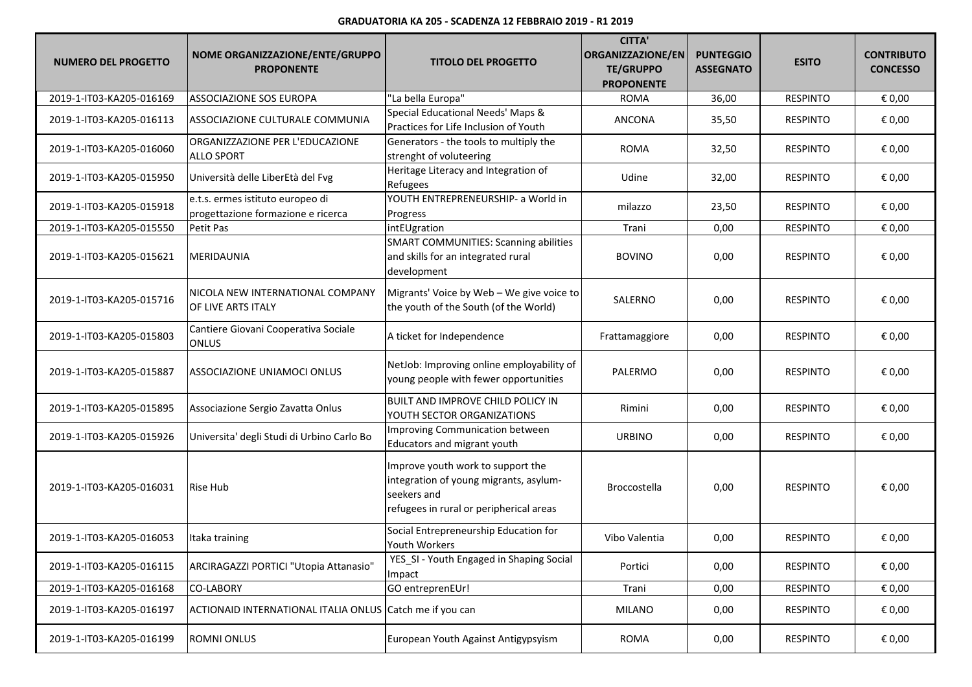## **GRADUATORIA KA 205 - SCADENZA 12 FEBBRAIO 2019 - R1 2019**

| <b>NUMERO DEL PROGETTO</b> | NOME ORGANIZZAZIONE/ENTE/GRUPPO<br><b>PROPONENTE</b>                   | <b>TITOLO DEL PROGETTO</b>                                                                                                            | <b>CITTA'</b><br>ORGANIZZAZIONE/EN<br><b>TE/GRUPPO</b><br><b>PROPONENTE</b> | <b>PUNTEGGIO</b><br><b>ASSEGNATO</b> | <b>ESITO</b>    | <b>CONTRIBUTO</b><br><b>CONCESSO</b> |
|----------------------------|------------------------------------------------------------------------|---------------------------------------------------------------------------------------------------------------------------------------|-----------------------------------------------------------------------------|--------------------------------------|-----------------|--------------------------------------|
| 2019-1-IT03-KA205-016169   | ASSOCIAZIONE SOS EUROPA                                                | "La bella Europa"                                                                                                                     | <b>ROMA</b>                                                                 | 36,00                                | <b>RESPINTO</b> | € 0,00                               |
| 2019-1-IT03-KA205-016113   | ASSOCIAZIONE CULTURALE COMMUNIA                                        | Special Educational Needs' Maps &<br>Practices for Life Inclusion of Youth                                                            | ANCONA                                                                      | 35,50                                | <b>RESPINTO</b> | € 0,00                               |
| 2019-1-IT03-KA205-016060   | ORGANIZZAZIONE PER L'EDUCAZIONE<br><b>ALLO SPORT</b>                   | Generators - the tools to multiply the<br>strenght of voluteering                                                                     | <b>ROMA</b>                                                                 | 32,50                                | <b>RESPINTO</b> | € 0,00                               |
| 2019-1-IT03-KA205-015950   | Università delle LiberEtà del Fvg                                      | Heritage Literacy and Integration of<br>Refugees                                                                                      | Udine                                                                       | 32,00                                | <b>RESPINTO</b> | € 0,00                               |
| 2019-1-IT03-KA205-015918   | e.t.s. ermes istituto europeo di<br>progettazione formazione e ricerca | YOUTH ENTREPRENEURSHIP- a World in<br>Progress                                                                                        | milazzo                                                                     | 23,50                                | <b>RESPINTO</b> | € 0,00                               |
| 2019-1-IT03-KA205-015550   | Petit Pas                                                              | intEUgration                                                                                                                          | Trani                                                                       | 0,00                                 | <b>RESPINTO</b> | € 0,00                               |
| 2019-1-IT03-KA205-015621   | <b>MERIDAUNIA</b>                                                      | <b>SMART COMMUNITIES: Scanning abilities</b><br>and skills for an integrated rural<br>development                                     | <b>BOVINO</b>                                                               | 0,00                                 | <b>RESPINTO</b> | € 0,00                               |
| 2019-1-IT03-KA205-015716   | NICOLA NEW INTERNATIONAL COMPANY<br>OF LIVE ARTS ITALY                 | Migrants' Voice by Web - We give voice to<br>the youth of the South (of the World)                                                    | SALERNO                                                                     | 0,00                                 | <b>RESPINTO</b> | € 0,00                               |
| 2019-1-IT03-KA205-015803   | Cantiere Giovani Cooperativa Sociale<br><b>ONLUS</b>                   | A ticket for Independence                                                                                                             | Frattamaggiore                                                              | 0,00                                 | <b>RESPINTO</b> | € 0,00                               |
| 2019-1-IT03-KA205-015887   | ASSOCIAZIONE UNIAMOCI ONLUS                                            | NetJob: Improving online employability of<br>young people with fewer opportunities                                                    | <b>PALERMO</b>                                                              | 0,00                                 | <b>RESPINTO</b> | € 0,00                               |
| 2019-1-IT03-KA205-015895   | Associazione Sergio Zavatta Onlus                                      | <b>BUILT AND IMPROVE CHILD POLICY IN</b><br>YOUTH SECTOR ORGANIZATIONS                                                                | Rimini                                                                      | 0,00                                 | <b>RESPINTO</b> | € 0,00                               |
| 2019-1-IT03-KA205-015926   | Universita' degli Studi di Urbino Carlo Bo                             | Improving Communication between<br>Educators and migrant youth                                                                        | <b>URBINO</b>                                                               | 0,00                                 | <b>RESPINTO</b> | € 0,00                               |
| 2019-1-IT03-KA205-016031   | <b>Rise Hub</b>                                                        | Improve youth work to support the<br>integration of young migrants, asylum-<br>seekers and<br>refugees in rural or peripherical areas | <b>Broccostella</b>                                                         | 0,00                                 | <b>RESPINTO</b> | € 0,00                               |
| 2019-1-IT03-KA205-016053   | Itaka training                                                         | Social Entrepreneurship Education for<br><b>Youth Workers</b>                                                                         | Vibo Valentia                                                               | 0,00                                 | <b>RESPINTO</b> | € 0,00                               |
| 2019-1-IT03-KA205-016115   | ARCIRAGAZZI PORTICI "Utopia Attanasio"                                 | YES_SI - Youth Engaged in Shaping Social<br>Impact                                                                                    | Portici                                                                     | 0,00                                 | <b>RESPINTO</b> | € 0,00                               |
| 2019-1-IT03-KA205-016168   | <b>CO-LABORY</b>                                                       | GO entreprenEUr!                                                                                                                      | Trani                                                                       | 0,00                                 | <b>RESPINTO</b> | € 0,00                               |
| 2019-1-IT03-KA205-016197   | ACTIONAID INTERNATIONAL ITALIA ONLUS Catch me if you can               |                                                                                                                                       | <b>MILANO</b>                                                               | 0,00                                 | <b>RESPINTO</b> | € 0,00                               |
| 2019-1-IT03-KA205-016199   | <b>ROMNI ONLUS</b>                                                     | European Youth Against Antigypsyism                                                                                                   | <b>ROMA</b>                                                                 | 0,00                                 | <b>RESPINTO</b> | € 0,00                               |